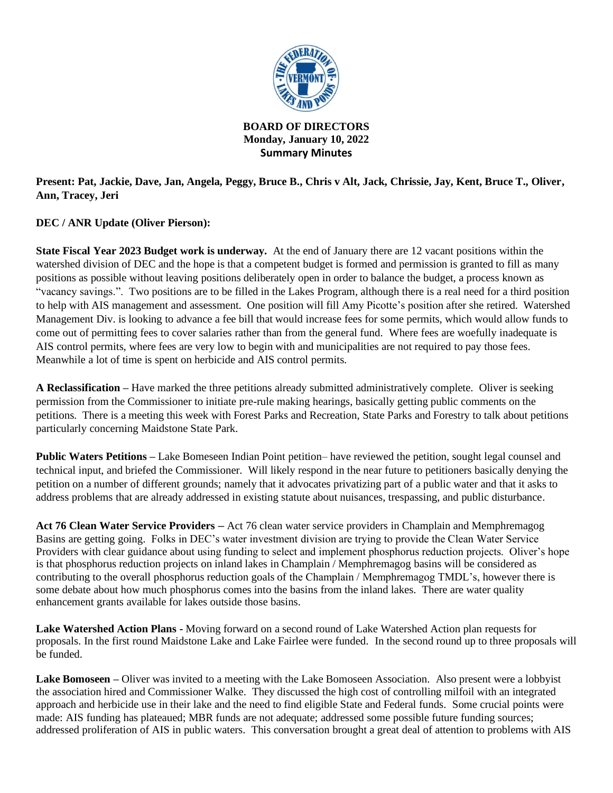

**BOARD OF DIRECTORS Monday, January 10, 2022 Summary Minutes**

**Present: Pat, Jackie, Dave, Jan, Angela, Peggy, Bruce B., Chris v Alt, Jack, Chrissie, Jay, Kent, Bruce T., Oliver, Ann, Tracey, Jeri**

**DEC / ANR Update (Oliver Pierson):**

**State Fiscal Year 2023 Budget work is underway.** At the end of January there are 12 vacant positions within the watershed division of DEC and the hope is that a competent budget is formed and permission is granted to fill as many positions as possible without leaving positions deliberately open in order to balance the budget, a process known as "vacancy savings.". Two positions are to be filled in the Lakes Program, although there is a real need for a third position to help with AIS management and assessment. One position will fill Amy Picotte's position after she retired. Watershed Management Div. is looking to advance a fee bill that would increase fees for some permits, which would allow funds to come out of permitting fees to cover salaries rather than from the general fund. Where fees are woefully inadequate is AIS control permits, where fees are very low to begin with and municipalities are not required to pay those fees. Meanwhile a lot of time is spent on herbicide and AIS control permits.

**A Reclassification –** Have marked the three petitions already submitted administratively complete. Oliver is seeking permission from the Commissioner to initiate pre-rule making hearings, basically getting public comments on the petitions. There is a meeting this week with Forest Parks and Recreation, State Parks and Forestry to talk about petitions particularly concerning Maidstone State Park.

**Public Waters Petitions –** Lake Bomeseen Indian Point petition– have reviewed the petition, sought legal counsel and technical input, and briefed the Commissioner. Will likely respond in the near future to petitioners basically denying the petition on a number of different grounds; namely that it advocates privatizing part of a public water and that it asks to address problems that are already addressed in existing statute about nuisances, trespassing, and public disturbance.

**Act 76 Clean Water Service Providers –** Act 76 clean water service providers in Champlain and Memphremagog Basins are getting going. Folks in DEC's water investment division are trying to provide the Clean Water Service Providers with clear guidance about using funding to select and implement phosphorus reduction projects. Oliver's hope is that phosphorus reduction projects on inland lakes in Champlain / Memphremagog basins will be considered as contributing to the overall phosphorus reduction goals of the Champlain / Memphremagog TMDL's, however there is some debate about how much phosphorus comes into the basins from the inland lakes. There are water quality enhancement grants available for lakes outside those basins.

**Lake Watershed Action Plans -** Moving forward on a second round of Lake Watershed Action plan requests for proposals. In the first round Maidstone Lake and Lake Fairlee were funded. In the second round up to three proposals will be funded.

**Lake Bomoseen –** Oliver was invited to a meeting with the Lake Bomoseen Association. Also present were a lobbyist the association hired and Commissioner Walke. They discussed the high cost of controlling milfoil with an integrated approach and herbicide use in their lake and the need to find eligible State and Federal funds. Some crucial points were made: AIS funding has plateaued; MBR funds are not adequate; addressed some possible future funding sources; addressed proliferation of AIS in public waters. This conversation brought a great deal of attention to problems with AIS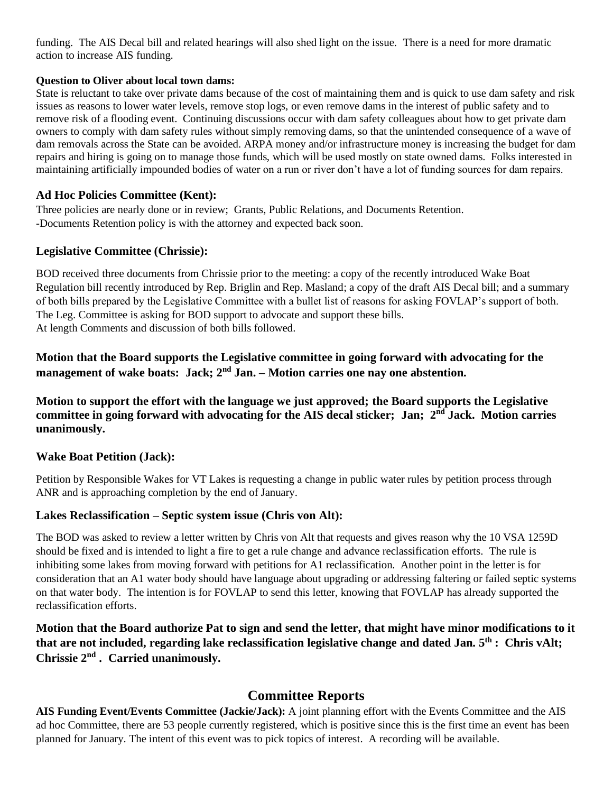funding. The AIS Decal bill and related hearings will also shed light on the issue. There is a need for more dramatic action to increase AIS funding.

#### **Question to Oliver about local town dams:**

State is reluctant to take over private dams because of the cost of maintaining them and is quick to use dam safety and risk issues as reasons to lower water levels, remove stop logs, or even remove dams in the interest of public safety and to remove risk of a flooding event. Continuing discussions occur with dam safety colleagues about how to get private dam owners to comply with dam safety rules without simply removing dams, so that the unintended consequence of a wave of dam removals across the State can be avoided. ARPA money and/or infrastructure money is increasing the budget for dam repairs and hiring is going on to manage those funds, which will be used mostly on state owned dams. Folks interested in maintaining artificially impounded bodies of water on a run or river don't have a lot of funding sources for dam repairs.

### **Ad Hoc Policies Committee (Kent):**

Three policies are nearly done or in review; Grants, Public Relations, and Documents Retention. -Documents Retention policy is with the attorney and expected back soon.

## **Legislative Committee (Chrissie):**

BOD received three documents from Chrissie prior to the meeting: a copy of the recently introduced Wake Boat Regulation bill recently introduced by Rep. Briglin and Rep. Masland; a copy of the draft AIS Decal bill; and a summary of both bills prepared by the Legislative Committee with a bullet list of reasons for asking FOVLAP's support of both. The Leg. Committee is asking for BOD support to advocate and support these bills. At length Comments and discussion of both bills followed.

**Motion that the Board supports the Legislative committee in going forward with advocating for the management of wake boats: Jack; 2<sup>nd</sup> Jan. – Motion carries one nay one abstention.** 

**Motion to support the effort with the language we just approved; the Board supports the Legislative**  committee in going forward with advocating for the AIS decal sticker; Jan; 2<sup>nd</sup> Jack. Motion carries **unanimously.**

### **Wake Boat Petition (Jack):**

Petition by Responsible Wakes for VT Lakes is requesting a change in public water rules by petition process through ANR and is approaching completion by the end of January.

## **Lakes Reclassification – Septic system issue (Chris von Alt):**

The BOD was asked to review a letter written by Chris von Alt that requests and gives reason why the 10 VSA 1259D should be fixed and is intended to light a fire to get a rule change and advance reclassification efforts. The rule is inhibiting some lakes from moving forward with petitions for A1 reclassification. Another point in the letter is for consideration that an A1 water body should have language about upgrading or addressing faltering or failed septic systems on that water body. The intention is for FOVLAP to send this letter, knowing that FOVLAP has already supported the reclassification efforts.

**Motion that the Board authorize Pat to sign and send the letter, that might have minor modifications to it that are not included, regarding lake reclassification legislative change and dated Jan. 5th : Chris vAlt; Chrissie 2nd . Carried unanimously.**

# **Committee Reports**

**AIS Funding Event/Events Committee (Jackie/Jack):** A joint planning effort with the Events Committee and the AIS ad hoc Committee, there are 53 people currently registered, which is positive since this is the first time an event has been planned for January. The intent of this event was to pick topics of interest. A recording will be available.